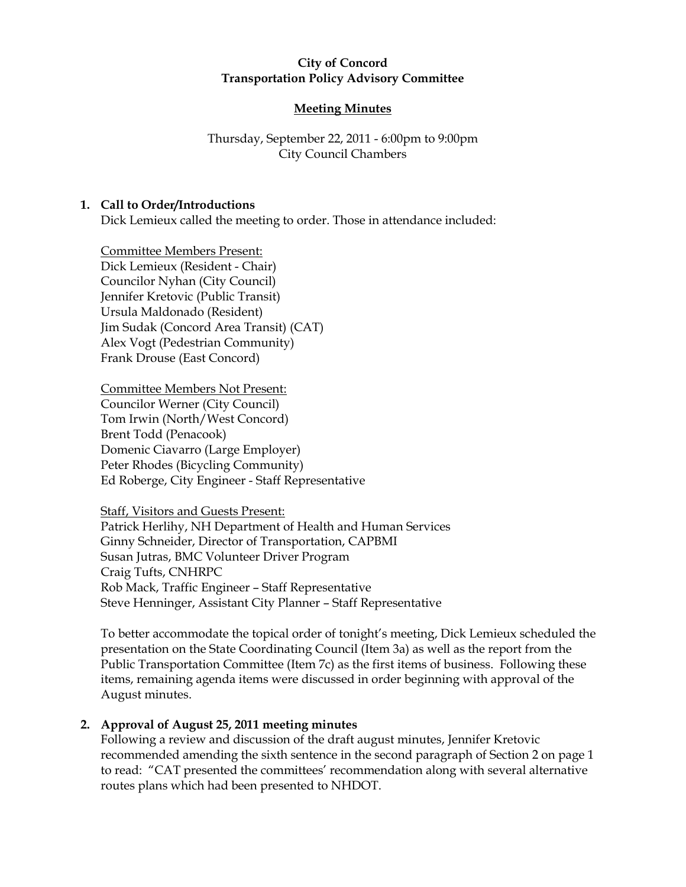### City of Concord Transportation Policy Advisory Committee

# Meeting Minutes

# Thursday, September 22, 2011 - 6:00pm to 9:00pm City Council Chambers

## 1. Call to Order/Introductions

Dick Lemieux called the meeting to order. Those in attendance included:

Committee Members Present: Dick Lemieux (Resident - Chair) Councilor Nyhan (City Council) Jennifer Kretovic (Public Transit) Ursula Maldonado (Resident) Jim Sudak (Concord Area Transit) (CAT) Alex Vogt (Pedestrian Community) Frank Drouse (East Concord)

### Committee Members Not Present:

Councilor Werner (City Council) Tom Irwin (North/West Concord) Brent Todd (Penacook) Domenic Ciavarro (Large Employer) Peter Rhodes (Bicycling Community) Ed Roberge, City Engineer - Staff Representative

#### Staff, Visitors and Guests Present:

Patrick Herlihy, NH Department of Health and Human Services Ginny Schneider, Director of Transportation, CAPBMI Susan Jutras, BMC Volunteer Driver Program Craig Tufts, CNHRPC Rob Mack, Traffic Engineer – Staff Representative Steve Henninger, Assistant City Planner – Staff Representative

To better accommodate the topical order of tonight's meeting, Dick Lemieux scheduled the presentation on the State Coordinating Council (Item 3a) as well as the report from the Public Transportation Committee (Item 7c) as the first items of business. Following these items, remaining agenda items were discussed in order beginning with approval of the August minutes.

## 2. Approval of August 25, 2011 meeting minutes

Following a review and discussion of the draft august minutes, Jennifer Kretovic recommended amending the sixth sentence in the second paragraph of Section 2 on page 1 to read: "CAT presented the committees' recommendation along with several alternative routes plans which had been presented to NHDOT.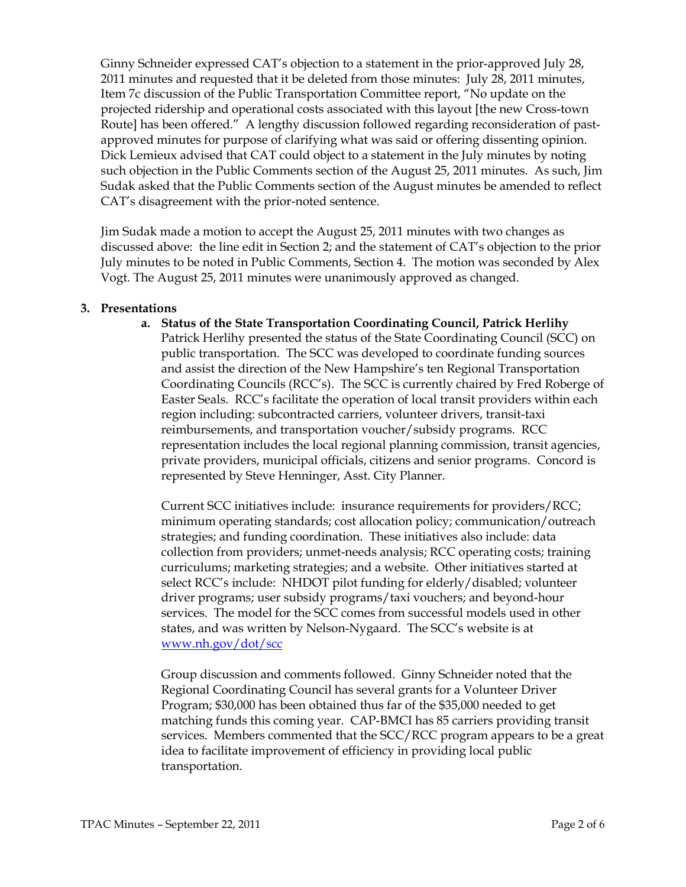Ginny Schneider expressed CAT's objection to a statement in the prior-approved July 28, 2011 minutes and requested that it be deleted from those minutes: July 28, 2011 minutes, Item 7c discussion of the Public Transportation Committee report, "No update on the projected ridership and operational costs associated with this layout [the new Cross-town Route] has been offered." A lengthy discussion followed regarding reconsideration of pastapproved minutes for purpose of clarifying what was said or offering dissenting opinion. Dick Lemieux advised that CAT could object to a statement in the July minutes by noting such objection in the Public Comments section of the August 25, 2011 minutes. As such, Jim Sudak asked that the Public Comments section of the August minutes be amended to reflect CAT's disagreement with the prior-noted sentence.

Jim Sudak made a motion to accept the August 25, 2011 minutes with two changes as discussed above: the line edit in Section 2; and the statement of CAT's objection to the prior July minutes to be noted in Public Comments, Section 4. The motion was seconded by Alex Vogt. The August 25, 2011 minutes were unanimously approved as changed.

### 3. Presentations

#### a. Status of the State Transportation Coordinating Council, Patrick Herlihy

Patrick Herlihy presented the status of the State Coordinating Council (SCC) on public transportation. The SCC was developed to coordinate funding sources and assist the direction of the New Hampshire's ten Regional Transportation Coordinating Councils (RCC's). The SCC is currently chaired by Fred Roberge of Easter Seals. RCC's facilitate the operation of local transit providers within each region including: subcontracted carriers, volunteer drivers, transit-taxi reimbursements, and transportation voucher/subsidy programs. RCC representation includes the local regional planning commission, transit agencies, private providers, municipal officials, citizens and senior programs. Concord is represented by Steve Henninger, Asst. City Planner.

Current SCC initiatives include: insurance requirements for providers/RCC; minimum operating standards; cost allocation policy; communication/outreach strategies; and funding coordination. These initiatives also include: data collection from providers; unmet-needs analysis; RCC operating costs; training curriculums; marketing strategies; and a website. Other initiatives started at select RCC's include: NHDOT pilot funding for elderly/disabled; volunteer driver programs; user subsidy programs/taxi vouchers; and beyond-hour services. The model for the SCC comes from successful models used in other states, and was written by Nelson-Nygaard. The SCC's website is at www.nh.gov/dot/scc

Group discussion and comments followed. Ginny Schneider noted that the Regional Coordinating Council has several grants for a Volunteer Driver Program; \$30,000 has been obtained thus far of the \$35,000 needed to get matching funds this coming year. CAP-BMCI has 85 carriers providing transit services. Members commented that the SCC/RCC program appears to be a great idea to facilitate improvement of efficiency in providing local public transportation.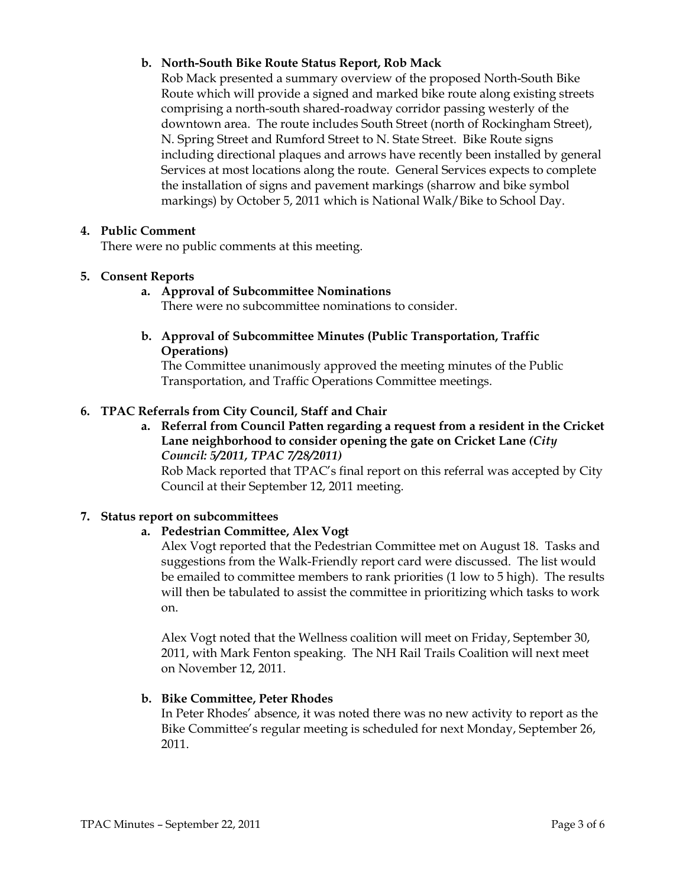## b. North-South Bike Route Status Report, Rob Mack

Rob Mack presented a summary overview of the proposed North-South Bike Route which will provide a signed and marked bike route along existing streets comprising a north-south shared-roadway corridor passing westerly of the downtown area. The route includes South Street (north of Rockingham Street), N. Spring Street and Rumford Street to N. State Street. Bike Route signs including directional plaques and arrows have recently been installed by general Services at most locations along the route. General Services expects to complete the installation of signs and pavement markings (sharrow and bike symbol markings) by October 5, 2011 which is National Walk/Bike to School Day.

### 4. Public Comment

There were no public comments at this meeting.

### 5. Consent Reports

a. Approval of Subcommittee Nominations

There were no subcommittee nominations to consider.

b. Approval of Subcommittee Minutes (Public Transportation, Traffic Operations)

The Committee unanimously approved the meeting minutes of the Public Transportation, and Traffic Operations Committee meetings.

### 6. TPAC Referrals from City Council, Staff and Chair

a. Referral from Council Patten regarding a request from a resident in the Cricket Lane neighborhood to consider opening the gate on Cricket Lane (City Council: 5/2011, TPAC 7/28/2011)

Rob Mack reported that TPAC's final report on this referral was accepted by City Council at their September 12, 2011 meeting.

#### **7.** Status report on subcommittees

## a. Pedestrian Committee, Alex Vogt

Alex Vogt reported that the Pedestrian Committee met on August 18. Tasks and suggestions from the Walk-Friendly report card were discussed. The list would be emailed to committee members to rank priorities (1 low to 5 high). The results will then be tabulated to assist the committee in prioritizing which tasks to work on.

Alex Vogt noted that the Wellness coalition will meet on Friday, September 30, 2011, with Mark Fenton speaking. The NH Rail Trails Coalition will next meet on November 12, 2011.

#### b. Bike Committee, Peter Rhodes

In Peter Rhodes' absence, it was noted there was no new activity to report as the Bike Committee's regular meeting is scheduled for next Monday, September 26, 2011.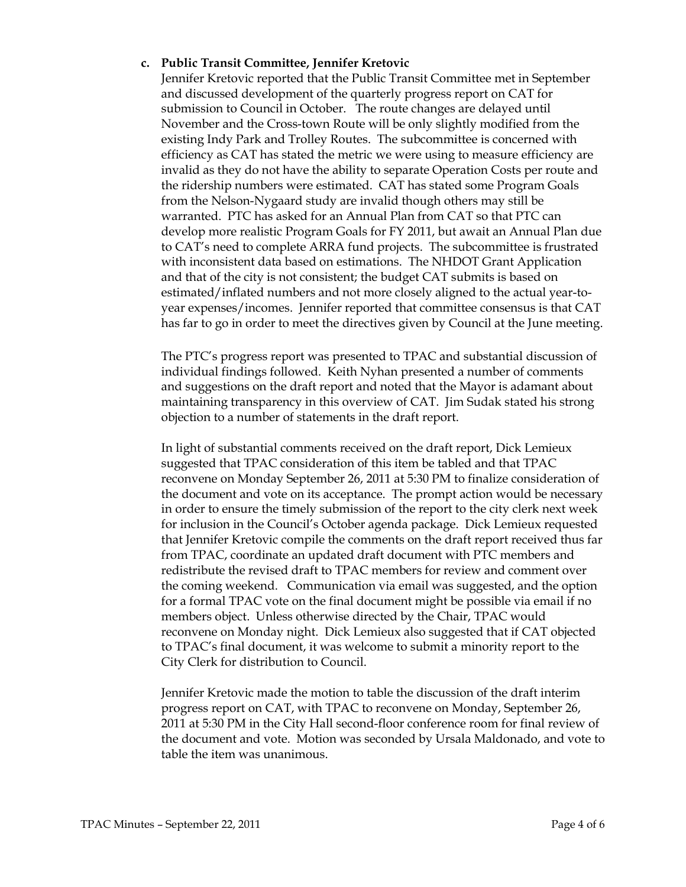### c. Public Transit Committee, Jennifer Kretovic

Jennifer Kretovic reported that the Public Transit Committee met in September and discussed development of the quarterly progress report on CAT for submission to Council in October. The route changes are delayed until November and the Cross-town Route will be only slightly modified from the existing Indy Park and Trolley Routes. The subcommittee is concerned with efficiency as CAT has stated the metric we were using to measure efficiency are invalid as they do not have the ability to separate Operation Costs per route and the ridership numbers were estimated. CAT has stated some Program Goals from the Nelson-Nygaard study are invalid though others may still be warranted. PTC has asked for an Annual Plan from CAT so that PTC can develop more realistic Program Goals for FY 2011, but await an Annual Plan due to CAT's need to complete ARRA fund projects. The subcommittee is frustrated with inconsistent data based on estimations. The NHDOT Grant Application and that of the city is not consistent; the budget CAT submits is based on estimated/inflated numbers and not more closely aligned to the actual year-toyear expenses/incomes. Jennifer reported that committee consensus is that CAT has far to go in order to meet the directives given by Council at the June meeting.

The PTC's progress report was presented to TPAC and substantial discussion of individual findings followed. Keith Nyhan presented a number of comments and suggestions on the draft report and noted that the Mayor is adamant about maintaining transparency in this overview of CAT. Jim Sudak stated his strong objection to a number of statements in the draft report.

In light of substantial comments received on the draft report, Dick Lemieux suggested that TPAC consideration of this item be tabled and that TPAC reconvene on Monday September 26, 2011 at 5:30 PM to finalize consideration of the document and vote on its acceptance. The prompt action would be necessary in order to ensure the timely submission of the report to the city clerk next week for inclusion in the Council's October agenda package. Dick Lemieux requested that Jennifer Kretovic compile the comments on the draft report received thus far from TPAC, coordinate an updated draft document with PTC members and redistribute the revised draft to TPAC members for review and comment over the coming weekend. Communication via email was suggested, and the option for a formal TPAC vote on the final document might be possible via email if no members object. Unless otherwise directed by the Chair, TPAC would reconvene on Monday night. Dick Lemieux also suggested that if CAT objected to TPAC's final document, it was welcome to submit a minority report to the City Clerk for distribution to Council.

Jennifer Kretovic made the motion to table the discussion of the draft interim progress report on CAT, with TPAC to reconvene on Monday, September 26, 2011 at 5:30 PM in the City Hall second-floor conference room for final review of the document and vote. Motion was seconded by Ursala Maldonado, and vote to table the item was unanimous.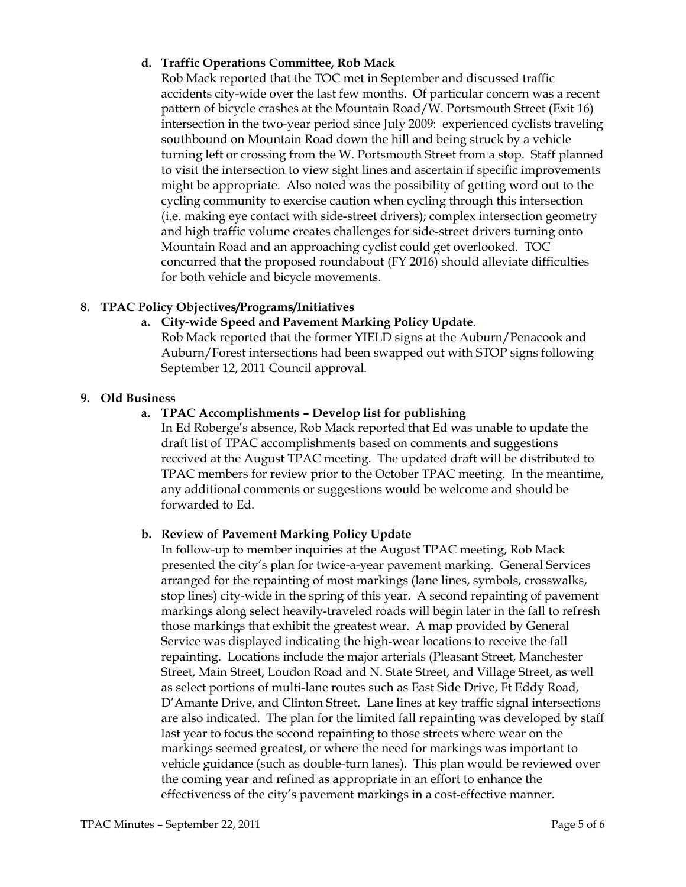## d. Traffic Operations Committee, Rob Mack

Rob Mack reported that the TOC met in September and discussed traffic accidents city-wide over the last few months. Of particular concern was a recent pattern of bicycle crashes at the Mountain Road/W. Portsmouth Street (Exit 16) intersection in the two-year period since July 2009: experienced cyclists traveling southbound on Mountain Road down the hill and being struck by a vehicle turning left or crossing from the W. Portsmouth Street from a stop. Staff planned to visit the intersection to view sight lines and ascertain if specific improvements might be appropriate. Also noted was the possibility of getting word out to the cycling community to exercise caution when cycling through this intersection (i.e. making eye contact with side-street drivers); complex intersection geometry and high traffic volume creates challenges for side-street drivers turning onto Mountain Road and an approaching cyclist could get overlooked. TOC concurred that the proposed roundabout (FY 2016) should alleviate difficulties for both vehicle and bicycle movements.

## 8. TPAC Policy Objectives/Programs/Initiatives

### a. City-wide Speed and Pavement Marking Policy Update.

Rob Mack reported that the former YIELD signs at the Auburn/Penacook and Auburn/Forest intersections had been swapped out with STOP signs following September 12, 2011 Council approval.

#### 9. Old Business

### a. TPAC Accomplishments – Develop list for publishing

In Ed Roberge's absence, Rob Mack reported that Ed was unable to update the draft list of TPAC accomplishments based on comments and suggestions received at the August TPAC meeting. The updated draft will be distributed to TPAC members for review prior to the October TPAC meeting. In the meantime, any additional comments or suggestions would be welcome and should be forwarded to Ed.

#### b. Review of Pavement Marking Policy Update

In follow-up to member inquiries at the August TPAC meeting, Rob Mack presented the city's plan for twice-a-year pavement marking. General Services arranged for the repainting of most markings (lane lines, symbols, crosswalks, stop lines) city-wide in the spring of this year. A second repainting of pavement markings along select heavily-traveled roads will begin later in the fall to refresh those markings that exhibit the greatest wear. A map provided by General Service was displayed indicating the high-wear locations to receive the fall repainting. Locations include the major arterials (Pleasant Street, Manchester Street, Main Street, Loudon Road and N. State Street, and Village Street, as well as select portions of multi-lane routes such as East Side Drive, Ft Eddy Road, D'Amante Drive, and Clinton Street. Lane lines at key traffic signal intersections are also indicated. The plan for the limited fall repainting was developed by staff last year to focus the second repainting to those streets where wear on the markings seemed greatest, or where the need for markings was important to vehicle guidance (such as double-turn lanes). This plan would be reviewed over the coming year and refined as appropriate in an effort to enhance the effectiveness of the city's pavement markings in a cost-effective manner.